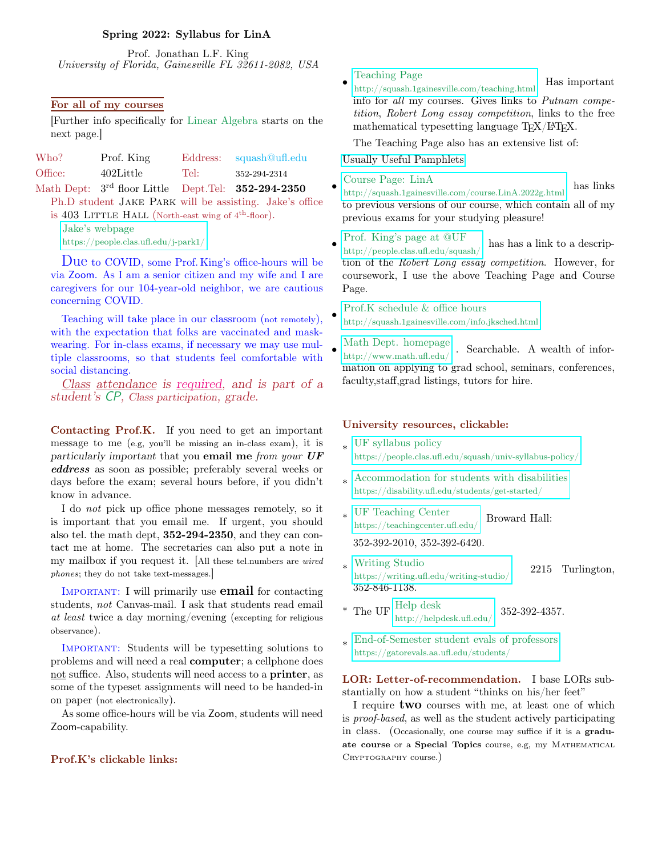# Spring 2022: Syllabus for LinA

Prof. Jonathan L.F. King University of Florida, Gainesville FL 32611-2082, USA

## For all of my courses

[Further info specifically for Linear Algebra starts on the next page.]

| Who?    | Prof. King   |      | Eddress: squash@uff.edu |
|---------|--------------|------|-------------------------|
| Office: | $402$ Little | Tel: | 352-294-2314            |
| _____   |              |      |                         |

Math Dept:  $3^{\text{rd}}$  floor Little Dept. Tel:  $352-294-2350$ 

Ph.D student Jake Park will be assisting. Jake's office is  $403$  LITTLE HALL (North-east wing of  $4<sup>th</sup>$ -floor).

Jake's webpage

<https://people.clas.ufl.edu/j-park1/>

Due to COVID, some Prof. King's office-hours will be via Zoom. As I am a senior citizen and my wife and I are caregivers for our 104-year-old neighbor, we are cautious concerning COVID.

Teaching will take place in our classroom (not remotely), with the expectation that folks are vaccinated and maskwearing. For in-class exams, if necessary we may use multiple classrooms, so that students feel comfortable with social distancing.

Class attendance is required, and is part of a student's CP, Class participation, grade.

Contacting Prof.K. If you need to get an important message to me (e.g, you'll be missing an in-class exam), it is particularly important that you email me from your UF eddress as soon as possible; preferably several weeks or days before the exam; several hours before, if you didn't know in advance.

I do not pick up office phone messages remotely, so it is important that you email me. If urgent, you should also tel. the math dept, 352-294-2350, and they can contact me at home. The secretaries can also put a note in my mailbox if you request it. [All these tel.numbers are wired phones; they do not take text-messages.]

IMPORTANT: I will primarily use **email** for contacting students, not Canvas-mail. I ask that students read email at least twice a day morning/evening (excepting for religious observance).

Important: Students will be typesetting solutions to problems and will need a real computer; a cellphone does not suffice. Also, students will need access to a printer, as some of the typeset assignments will need to be handed-in on paper (not electronically).

As some office-hours will be via Zoom, students will need Zoom-capability.

### Prof.K's clickable links:

#### • Teaching Page

<http://squash.1gainesville.com/teaching.html> Has important info for all my courses. Gives links to Putnam competition, Robert Long essay competition, links to the free mathematical typesetting language  $T_{F}X/IF_{F}X$ .

The Teaching Page also has an extensive list of:

[Usually Useful Pamphlets.](http://squash.1gainesville.com/teaching.html#pamphlets)

## Course Page: LinA

•

•

•

<http://squash.1gainesville.com/course.LinA.2022g.html> has links to previous versions of our course, which contain all of my previous exams for your studying pleasure!

#### • [Prof. King's page at @UF](http://people.clas.ufl.edu/squash/)

http://people.clas.ufl.edu/squash/ has has a link to a description of the Robert Long essay competition. However, for coursework, I use the above Teaching Page and Course Page.

Prof.K schedule & office hours <http://squash.1gainesville.com/info.jksched.html>

[Math Dept. homepage](http://www.math.ufl.edu/)  $h_{\text{http://www.math.ufl.edu/}}$  . Searchable. A wealth of information on applying to grad school, seminars, conferences, faculty,staff,grad listings, tutors for hire.

### University resources, clickable:

- \* UF syllabus policy <https://people.clas.ufl.edu/squash/univ-syllabus-policy/>
- \* [Accommodation for students with disabilities](https://disability.ufl.edu/students/get-started/) https://disability.ufl.edu/students/get-started/
- \* UF Teaching Center <https://teachingcenter.ufl.edu/> Broward Hall:

352-392-2010, 352-392-6420.

- \* Writing Studio writing Studio<br><https://writing.ufl.edu/writing-studio/> 2215 Turlington, 352-846-1138.
- \* The UF  $\frac{\text{Help desk}}{\text{http://help desk.ufl.edu/}}$  352-392-4357.
- \* [End-of-Semester student evals of professors](https://gatorevals.aa.ufl.edu/students/) https://gatorevals.aa.ufl.edu/students/

LOR: Letter-of-recommendation. I base LORs substantially on how a student "thinks on his/her feet"

I require **two** courses with me, at least one of which is proof-based, as well as the student actively participating in class. (Occasionally, one course may suffice if it is a graduate course or a Special Topics course, e.g, my MATHEMATICAL CRYPTOGRAPHY course.)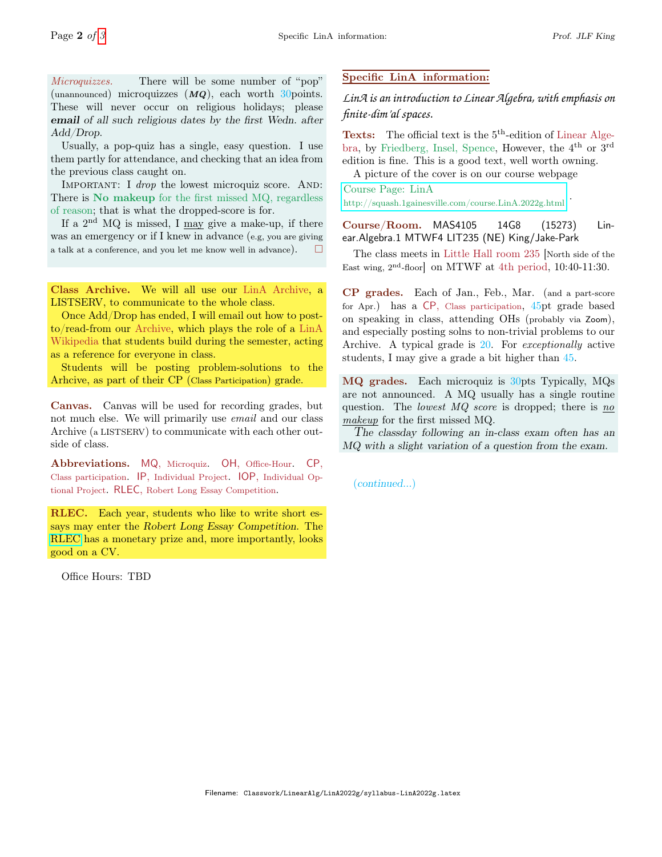Microquizzes. There will be some number of "pop" (unannounced) microquizzes  $(MQ)$ , each worth 30 points. These will never occur on religious holidays; please email of all such religious dates by the first Wedn. after Add/Drop.

Usually, a pop-quiz has a single, easy question. I use them partly for attendance, and checking that an idea from the previous class caught on.

IMPORTANT: I drop the lowest microquiz score. AND: There is No makeup for the first missed MQ, regardless of reason; that is what the dropped-score is for.

If a  $2<sup>nd</sup>$  MQ is missed, I may give a make-up, if there was an emergency or if I knew in advance (e.g, you are giving a talk at a conference, and you let me know well in advance).  $\Box$ 

Class Archive. We will all use our LinA Archive, a LISTSERV, to communicate to the whole class.

Once Add/Drop has ended, I will email out how to postto/read-from our Archive, which plays the role of a LinA Wikipedia that students build during the semester, acting as a reference for everyone in class.

Students will be posting problem-solutions to the Arhcive, as part of their CP (Class Participation) grade.

Canvas. Canvas will be used for recording grades, but not much else. We will primarily use *email* and our class Archive (a LISTSERV) to communicate with each other outside of class.

Abbreviations. MQ, Microquiz. OH, Office-Hour. CP, Class participation. IP, Individual Project. IOP, Individual Optional Project. RLEC, Robert Long Essay Competition.

RLEC. Each year, students who like to write short essays may enter the Robert Long Essay Competition. The [RLEC](https://people.clas.ufl.edu/squash/robert-long-prize/) has a monetary prize and, more importantly, looks good on a CV.

Office Hours: TBD

# Specific LinA information:

*LinA is an introduction to Linear Algebra, with emphasis on finite-dim'al spaces.*

Texts: The official text is the 5<sup>th</sup>-edition of Linear Algebra, by Friedberg, Insel, Spence, However, the 4th or 3rd edition is fine. This is a good text, well worth owning.

A picture of the cover is on our course webpage

# Course Page: LinA

<http://squash.1gainesville.com/course.LinA.2022g.html> .

Course/Room. MAS4105 14G8 (15273) Linear.Algebra.1 MTWF4 LIT235 (NE) King/Jake-Park

The class meets in Little Hall room 235 [North side of the East wing,  $2<sup>nd</sup>$ -floor] on MTWF at 4th period, 10:40-11:30.

CP grades. Each of Jan., Feb., Mar. (and a part-score for Apr.) has a CP, Class participation, 45pt grade based on speaking in class, attending OHs (probably via Zoom), and especially posting solns to non-trivial problems to our Archive. A typical grade is 20. For exceptionally active students, I may give a grade a bit higher than 45.

MQ grades. Each microquiz is 30pts Typically, MQs are not announced. A MQ usually has a single routine question. The lowest  $MQ$  score is dropped; there is  $\underline{no}$ makeup for the first missed MQ.

The classday following an in-class exam often has an MQ with a slight variation of a question from the exam.

(continued...)